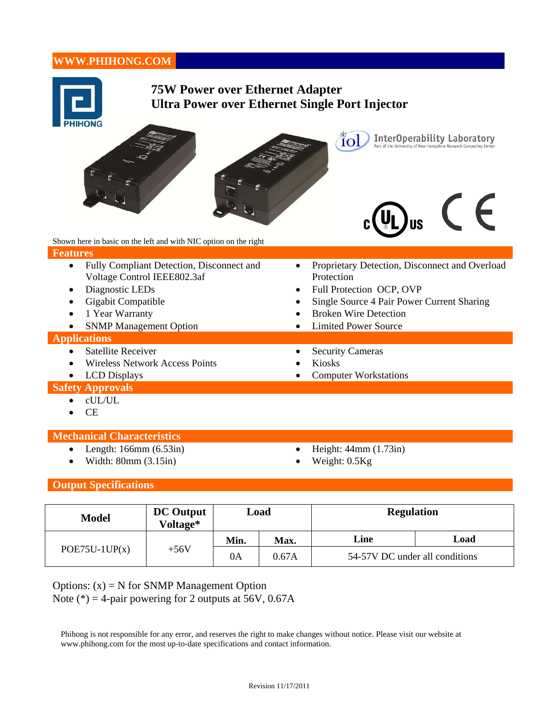# **WWW.PHIHONG.COM**

| <b>75W Power over Ethernet Adapter</b><br><b>Ultra Power over Ethernet Single Port Injector</b><br>InterOperability Laboratory<br>Part of the University of New Hampshire Research Computing Center<br>ĨOl                                                       |                                                                                                                                                                                                                                               |  |  |  |
|------------------------------------------------------------------------------------------------------------------------------------------------------------------------------------------------------------------------------------------------------------------|-----------------------------------------------------------------------------------------------------------------------------------------------------------------------------------------------------------------------------------------------|--|--|--|
| Shown here in basic on the left and with NIC option on the right<br><b>Features</b>                                                                                                                                                                              |                                                                                                                                                                                                                                               |  |  |  |
| Fully Compliant Detection, Disconnect and<br>$\bullet$<br>Voltage Control IEEE802.3af<br>Diagnostic LEDs<br>$\bullet$<br>Gigabit Compatible<br>1 Year Warranty<br><b>SNMP Management Option</b><br>$\bullet$<br><b>Applications</b><br><b>Satellite Receiver</b> | Proprietary Detection, Disconnect and Overload<br>$\bullet$<br>Protection<br>Full Protection OCP, OVP<br>Single Source 4 Pair Power Current Sharing<br><b>Broken Wire Detection</b><br><b>Limited Power Source</b><br><b>Security Cameras</b> |  |  |  |
| <b>Wireless Network Access Points</b><br><b>LCD</b> Displays<br>$\bullet$                                                                                                                                                                                        | <b>Kiosks</b><br><b>Computer Workstations</b>                                                                                                                                                                                                 |  |  |  |
| <b>Safety Approvals</b>                                                                                                                                                                                                                                          |                                                                                                                                                                                                                                               |  |  |  |
| cUL/UL<br><b>CE</b>                                                                                                                                                                                                                                              |                                                                                                                                                                                                                                               |  |  |  |
| <b>Mechanical Characteristics</b>                                                                                                                                                                                                                                |                                                                                                                                                                                                                                               |  |  |  |
| Length: $166mm(6.53in)$<br>Width: 80mm (3.15in)                                                                                                                                                                                                                  | Height: 44mm (1.73in)<br>Weight: 0.5Kg                                                                                                                                                                                                        |  |  |  |
| <b>Output Specifications</b>                                                                                                                                                                                                                                     |                                                                                                                                                                                                                                               |  |  |  |

| <b>Model</b>              | <b>DC</b> Output<br>Voltage* | Load |       | <b>Regulation</b>              |      |
|---------------------------|------------------------------|------|-------|--------------------------------|------|
| $POE75U-1UP(x)$<br>$+56V$ |                              | Min. | Max.  | Line                           | Load |
|                           |                              | 0A   | 0.67A | 54-57V DC under all conditions |      |

Options:  $(x) = N$  for SNMP Management Option Note (\*) = 4-pair powering for 2 outputs at 56V,  $0.67A$ 

Phihong is not responsible for any error, and reserves the right to make changes without notice. Please visit our website at www.phihong.com for the most up-to-date specifications and contact information.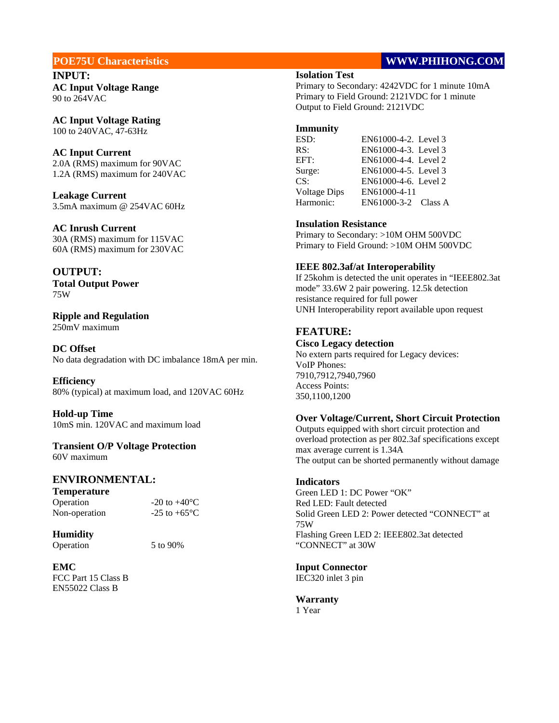**INPUT: AC Input Voltage Range**  90 to 264VAC

**AC Input Voltage Rating**  100 to 240VAC, 47-63Hz

### **AC Input Current**

2.0A (RMS) maximum for 90VAC 1.2A (RMS) maximum for 240VAC

**Leakage Current**  3.5mA maximum @ 254VAC 60Hz

## **AC Inrush Current**

30A (RMS) maximum for 115VAC 60A (RMS) maximum for 230VAC

## **OUTPUT:**

**Total Output Power**  75W

#### **Ripple and Regulation**  250mV maximum

**DC Offset** 

No data degradation with DC imbalance 18mA per min.

**Efficiency**  80% (typical) at maximum load, and 120VAC 60Hz

**Hold-up Time**  10mS min. 120VAC and maximum load

## **Transient O/P Voltage Protection**

60V maximum

## **ENVIRONMENTAL:**

**Temperature**  Operation  $-20$  to  $+40^{\circ}$ C<br>Non-operation  $-25$  to  $+65^{\circ}$ C Non-operation

## **Humidity**

Operation 5 to 90%

**EMC**  FCC Part 15 Class B EN55022 Class B

## **POE75U Characteristics** WWW.PHIHONG.COM

#### **Isolation Test**

Primary to Secondary: 4242VDC for 1 minute 10mA Primary to Field Ground: 2121VDC for 1 minute Output to Field Ground: 2121VDC

#### **Immunity**

| ESD:                | EN61000-4-2. Level 3 |
|---------------------|----------------------|
| RS:                 | EN61000-4-3. Level 3 |
| EFT:                | EN61000-4-4. Level 2 |
| Surge:              | EN61000-4-5. Level 3 |
| CS:                 | EN61000-4-6. Level 2 |
| <b>Voltage Dips</b> | EN61000-4-11         |
| Harmonic:           | EN61000-3-2 Class A  |

## **Insulation Resistance**

Primary to Secondary: >10M OHM 500VDC Primary to Field Ground: >10M OHM 500VDC

#### **IEEE 802.3af/at Interoperability**

If 25kohm is detected the unit operates in "IEEE802.3at mode" 33.6W 2 pair powering. 12.5k detection resistance required for full power UNH Interoperability report available upon request

## **FEATURE:**

#### **Cisco Legacy detection**  No extern parts required for Legacy devices:

VoIP Phones: 7910,7912,7940,7960 Access Points: 350,1100,1200

## **Over Voltage/Current, Short Circuit Protection**

Outputs equipped with short circuit protection and overload protection as per 802.3af specifications except max average current is 1.34A The output can be shorted permanently without damage

#### **Indicators**

Green LED 1: DC Power "OK" Red LED: Fault detected Solid Green LED 2: Power detected "CONNECT" at 75W Flashing Green LED 2: IEEE802.3at detected "CONNECT" at 30W

# **Input Connector**

IEC320 inlet 3 pin

# **Warranty**

1 Year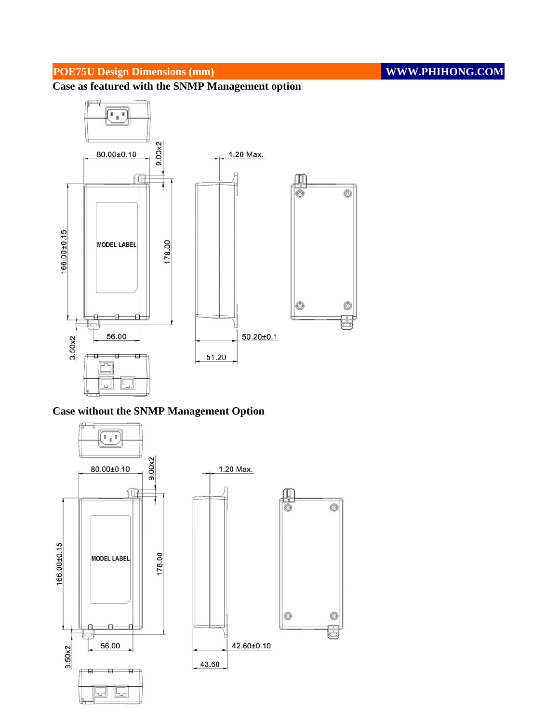## **POE75U Design Dimensions (mm)** WWW.PHIHONG.COM

**Case as featured with the SNMP Management option**



## **Case without the SNMP Management Option**